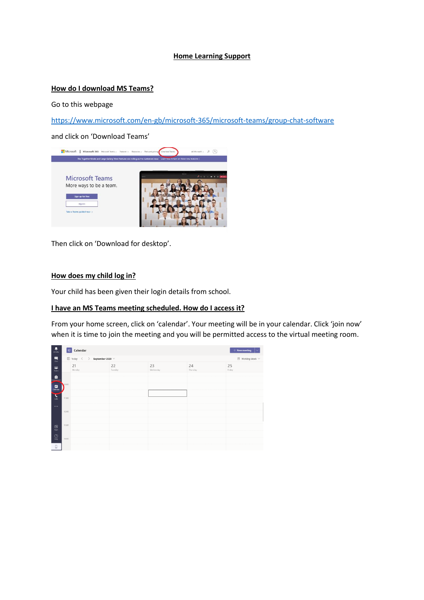## **Home Learning Support**

## **How do I download MS Teams?**

Go to this webpage

<https://www.microsoft.com/en-gb/microsoft-365/microsoft-teams/group-chat-software>

and click on 'Download Teams'



Then click on 'Download for desktop'.

# **How does my child log in?**

Your child has been given their login details from school.

### **I have an MS Teams meeting scheduled. How do I access it?**

From your home screen, click on 'calendar'. Your meeting will be in your calendar. Click 'join now' when it is time to join the meeting and you will be permitted access to the virtual meeting room.

| $\frac{1}{\lambda \sin \theta y}$                            | <b><i><del>■</del></i></b> Calendar                                                                                                                                                                                           | $+$ New meeting $  \vee$       |               |                 |                |              |
|--------------------------------------------------------------|-------------------------------------------------------------------------------------------------------------------------------------------------------------------------------------------------------------------------------|--------------------------------|---------------|-----------------|----------------|--------------|
| $\begin{array}{c} \blacksquare \\ \blacksquare \end{array}$  | $\left[\begin{smallmatrix} \star \\ \star \end{smallmatrix}\right] \hspace{.2cm} \text{Totaly} \hspace{.2cm} \left\langle \begin{array}{c} \star \\ \star \end{array}\right\rangle \hspace{.2cm} \text{September 2020 } \vee$ | $\boxplus$ Working Week $\vee$ |               |                 |                |              |
| Ŵ.<br>Teams                                                  |                                                                                                                                                                                                                               | 21<br>Monday                   | 22<br>Tuesday | 23<br>Wednesday | 24<br>Thursday | 25<br>Friday |
| $\begin{array}{c} \bullet \\ \bullet \\ \bullet \end{array}$ |                                                                                                                                                                                                                               |                                |               |                 |                |              |
| $\Box$<br>Calendar                                           | 10:00                                                                                                                                                                                                                         |                                |               |                 |                |              |
| $\sum_{\text{CMB}}$                                          | 11:00                                                                                                                                                                                                                         |                                |               |                 |                |              |
| $\cdots$                                                     |                                                                                                                                                                                                                               |                                |               |                 |                |              |
|                                                              | 12:00                                                                                                                                                                                                                         |                                |               |                 |                |              |
| $\mathbf{B}$<br>$\overline{log}$                             | 13:00                                                                                                                                                                                                                         |                                |               |                 |                |              |
| $\bigodot_{\rm Hefp}$                                        | 14:00                                                                                                                                                                                                                         |                                |               |                 |                |              |
| $\Box$                                                       |                                                                                                                                                                                                                               |                                |               |                 |                |              |